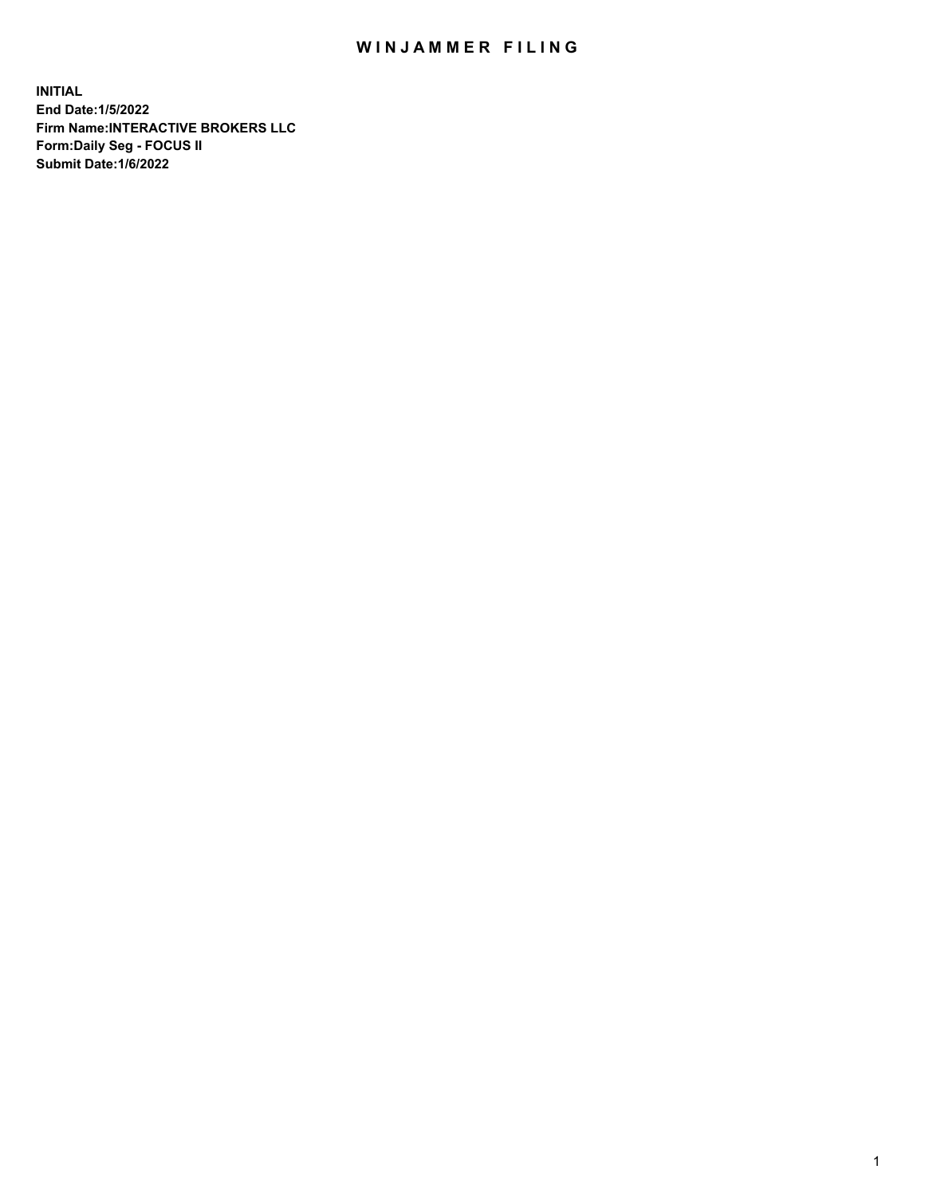## WIN JAMMER FILING

**INITIAL End Date:1/5/2022 Firm Name:INTERACTIVE BROKERS LLC Form:Daily Seg - FOCUS II Submit Date:1/6/2022**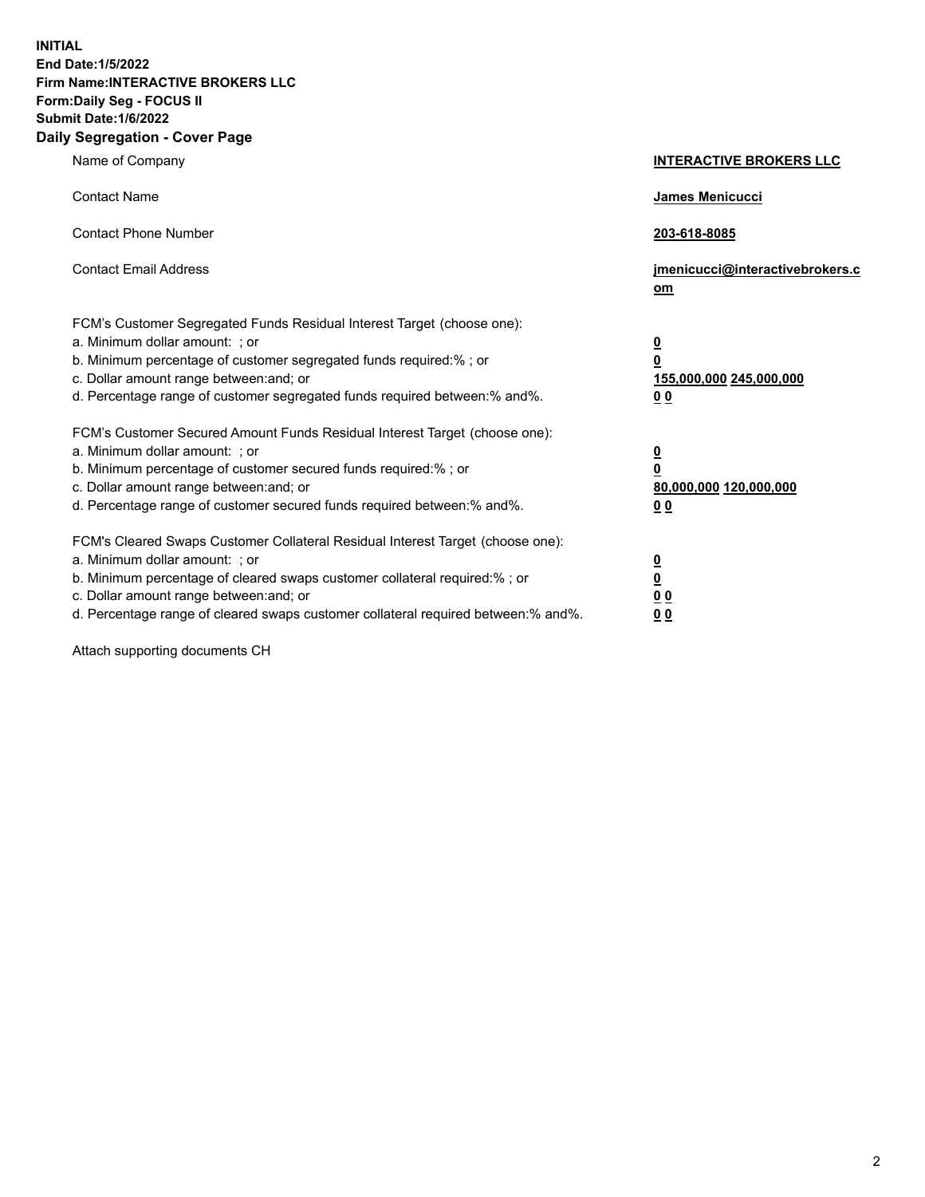**INITIAL End Date:1/5/2022 Firm Name:INTERACTIVE BROKERS LLC Form:Daily Seg - FOCUS II Submit Date:1/6/2022 Daily Segregation - Cover Page**

| Name of Company                                                                                                                                                                                                                                                                                                                | <b>INTERACTIVE BROKERS LLC</b>                                                                  |
|--------------------------------------------------------------------------------------------------------------------------------------------------------------------------------------------------------------------------------------------------------------------------------------------------------------------------------|-------------------------------------------------------------------------------------------------|
| <b>Contact Name</b>                                                                                                                                                                                                                                                                                                            | <b>James Menicucci</b>                                                                          |
| <b>Contact Phone Number</b>                                                                                                                                                                                                                                                                                                    | 203-618-8085                                                                                    |
| <b>Contact Email Address</b>                                                                                                                                                                                                                                                                                                   | jmenicucci@interactivebrokers.c<br>om                                                           |
| FCM's Customer Segregated Funds Residual Interest Target (choose one):<br>a. Minimum dollar amount: ; or<br>b. Minimum percentage of customer segregated funds required:% ; or<br>c. Dollar amount range between: and; or<br>d. Percentage range of customer segregated funds required between:% and%.                         | $\overline{\mathbf{0}}$<br>$\overline{\mathbf{0}}$<br>155,000,000 245,000,000<br>0 <sub>0</sub> |
| FCM's Customer Secured Amount Funds Residual Interest Target (choose one):<br>a. Minimum dollar amount: ; or<br>b. Minimum percentage of customer secured funds required:%; or<br>c. Dollar amount range between: and; or<br>d. Percentage range of customer secured funds required between:% and%.                            | $\overline{\mathbf{0}}$<br>$\mathbf 0$<br>80,000,000 120,000,000<br>0 <sub>0</sub>              |
| FCM's Cleared Swaps Customer Collateral Residual Interest Target (choose one):<br>a. Minimum dollar amount: ; or<br>b. Minimum percentage of cleared swaps customer collateral required:% ; or<br>c. Dollar amount range between: and; or<br>d. Percentage range of cleared swaps customer collateral required between:% and%. | $\overline{\mathbf{0}}$<br>$\underline{\mathbf{0}}$<br>0 <sub>0</sub><br>0 <sub>0</sub>         |

Attach supporting documents CH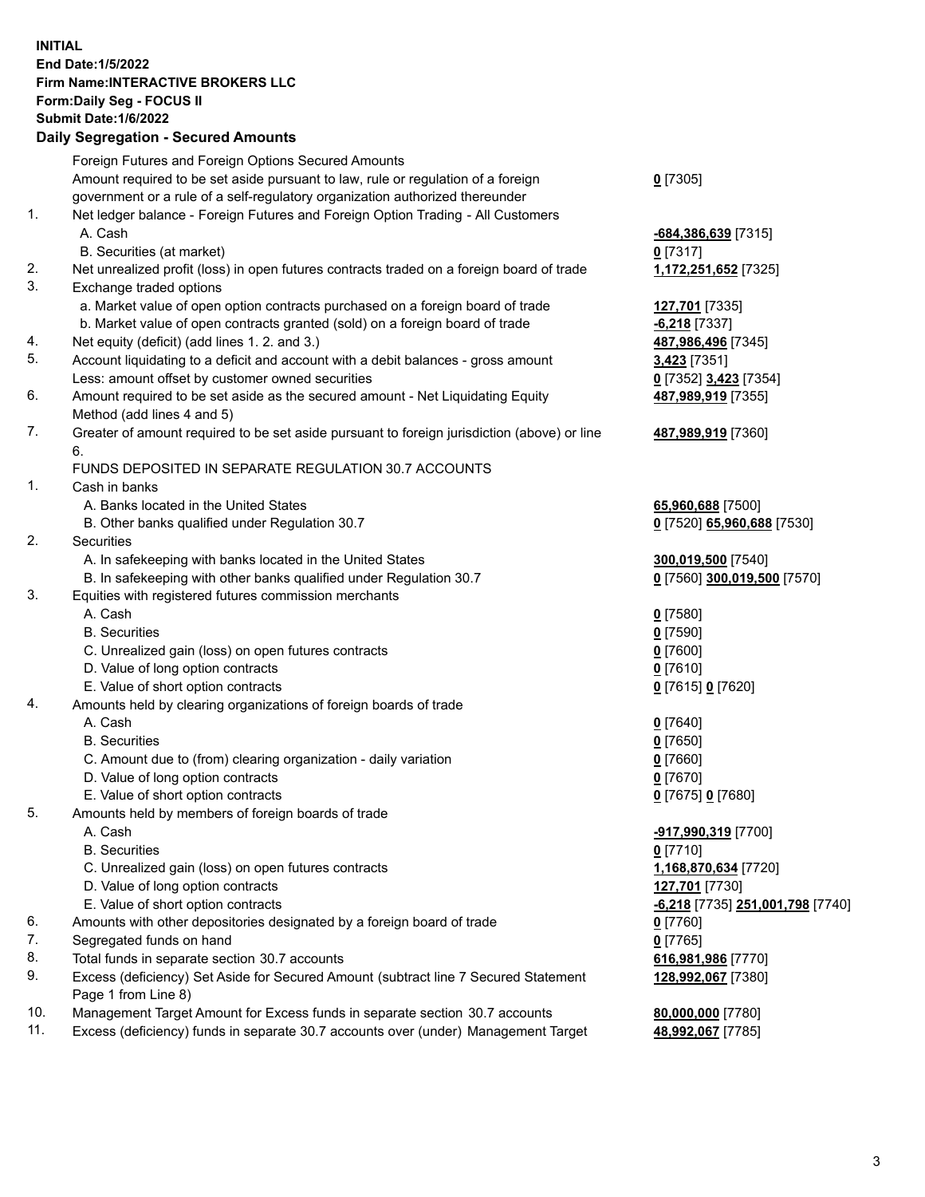**INITIAL End Date:1/5/2022 Firm Name:INTERACTIVE BROKERS LLC Form:Daily Seg - FOCUS II Submit Date:1/6/2022 Daily Segregation - Secured Amounts**

|     | Daily Segregation - Secured Amounts                                                         |                                  |
|-----|---------------------------------------------------------------------------------------------|----------------------------------|
|     | Foreign Futures and Foreign Options Secured Amounts                                         |                                  |
|     | Amount required to be set aside pursuant to law, rule or regulation of a foreign            | $0$ [7305]                       |
|     | government or a rule of a self-regulatory organization authorized thereunder                |                                  |
| 1.  | Net ledger balance - Foreign Futures and Foreign Option Trading - All Customers             |                                  |
|     | A. Cash                                                                                     | -684,386,639 [7315]              |
|     | B. Securities (at market)                                                                   | $0$ [7317]                       |
| 2.  | Net unrealized profit (loss) in open futures contracts traded on a foreign board of trade   | 1,172,251,652 [7325]             |
| 3.  | Exchange traded options                                                                     |                                  |
|     | a. Market value of open option contracts purchased on a foreign board of trade              | 127,701 [7335]                   |
|     | b. Market value of open contracts granted (sold) on a foreign board of trade                | $-6,218$ [7337]                  |
| 4.  | Net equity (deficit) (add lines 1. 2. and 3.)                                               | 487,986,496 [7345]               |
| 5.  | Account liquidating to a deficit and account with a debit balances - gross amount           | 3,423 [7351]                     |
|     | Less: amount offset by customer owned securities                                            | 0 [7352] 3,423 [7354]            |
| 6.  | Amount required to be set aside as the secured amount - Net Liquidating Equity              | 487,989,919 [7355]               |
|     | Method (add lines 4 and 5)                                                                  |                                  |
| 7.  | Greater of amount required to be set aside pursuant to foreign jurisdiction (above) or line | 487,989,919 [7360]               |
|     | 6.                                                                                          |                                  |
|     | FUNDS DEPOSITED IN SEPARATE REGULATION 30.7 ACCOUNTS                                        |                                  |
| 1.  | Cash in banks                                                                               |                                  |
|     | A. Banks located in the United States                                                       | 65,960,688 [7500]                |
|     | B. Other banks qualified under Regulation 30.7                                              | 0 [7520] 65,960,688 [7530]       |
| 2.  | Securities                                                                                  |                                  |
|     | A. In safekeeping with banks located in the United States                                   | 300,019,500 [7540]               |
|     | B. In safekeeping with other banks qualified under Regulation 30.7                          | 0 [7560] 300,019,500 [7570]      |
| 3.  | Equities with registered futures commission merchants                                       |                                  |
|     | A. Cash                                                                                     | $0$ [7580]                       |
|     | <b>B.</b> Securities                                                                        | $0$ [7590]                       |
|     | C. Unrealized gain (loss) on open futures contracts                                         | $0$ [7600]                       |
|     | D. Value of long option contracts                                                           | $0$ [7610]                       |
|     | E. Value of short option contracts                                                          | 0 [7615] 0 [7620]                |
| 4.  | Amounts held by clearing organizations of foreign boards of trade                           |                                  |
|     | A. Cash                                                                                     | $0$ [7640]                       |
|     | <b>B.</b> Securities                                                                        | $0$ [7650]                       |
|     | C. Amount due to (from) clearing organization - daily variation                             | $0$ [7660]                       |
|     | D. Value of long option contracts                                                           | $0$ [7670]                       |
|     | E. Value of short option contracts                                                          | 0 [7675] 0 [7680]                |
| 5.  | Amounts held by members of foreign boards of trade                                          |                                  |
|     | A. Cash                                                                                     | -917,990,319 [7700]              |
|     | <b>B.</b> Securities                                                                        | $0$ [7710]                       |
|     | C. Unrealized gain (loss) on open futures contracts<br>D. Value of long option contracts    | 1,168,870,634 [7720]             |
|     | E. Value of short option contracts                                                          | 127,701 [7730]                   |
| 6.  | Amounts with other depositories designated by a foreign board of trade                      | -6,218 [7735] 251,001,798 [7740] |
| 7.  | Segregated funds on hand                                                                    | 0 [7760]<br>$0$ [7765]           |
| 8.  | Total funds in separate section 30.7 accounts                                               | 616,981,986 [7770]               |
| 9.  | Excess (deficiency) Set Aside for Secured Amount (subtract line 7 Secured Statement         | 128,992,067 [7380]               |
|     | Page 1 from Line 8)                                                                         |                                  |
| 10. | Management Target Amount for Excess funds in separate section 30.7 accounts                 | 80,000,000 [7780]                |
| 11. | Excess (deficiency) funds in separate 30.7 accounts over (under) Management Target          | 48,992,067 [7785]                |
|     |                                                                                             |                                  |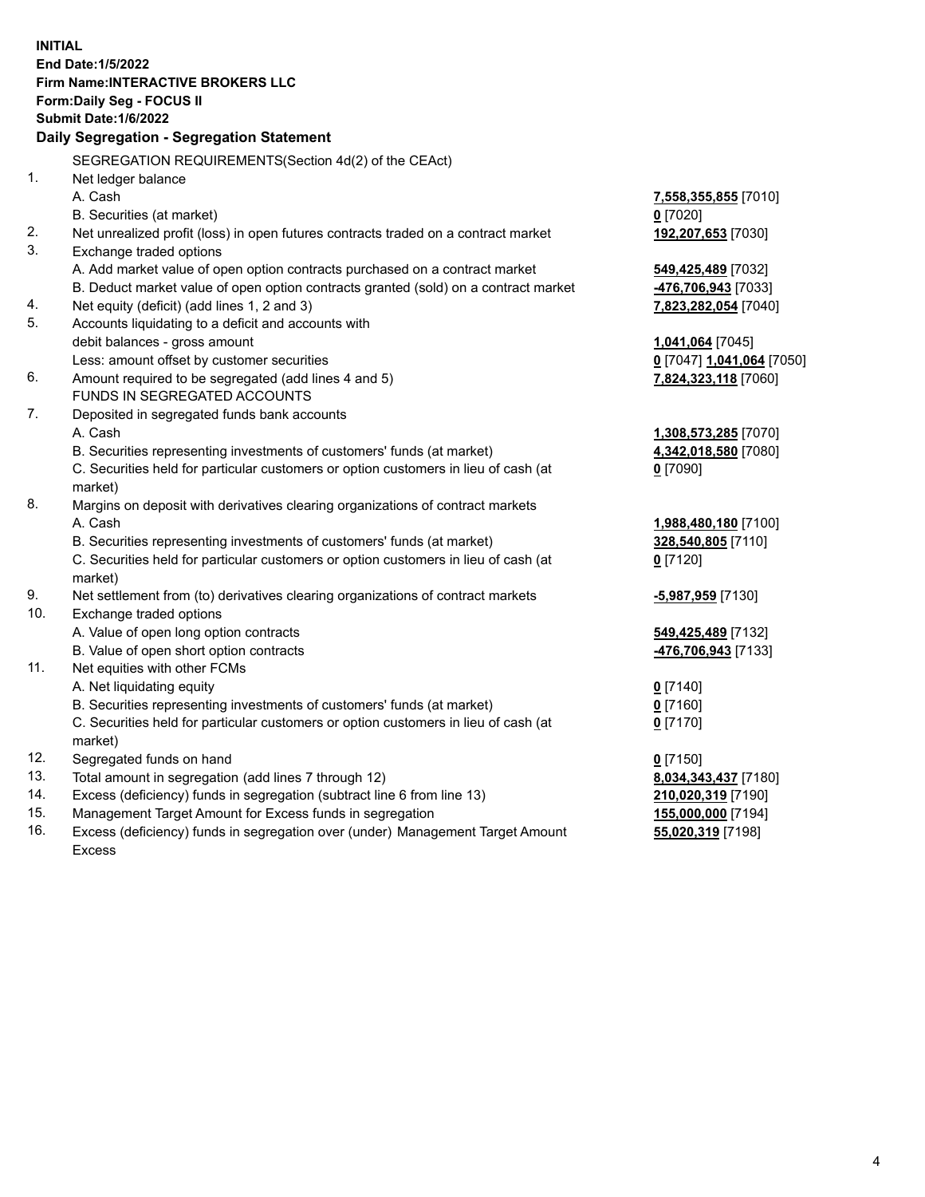**INITIAL End Date:1/5/2022 Firm Name:INTERACTIVE BROKERS LLC Form:Daily Seg - FOCUS II Submit Date:1/6/2022 Daily Segregation - Segregation Statement** SEGREGATION REQUIREMENTS(Section 4d(2) of the CEAct) 1. Net ledger balance A. Cash **7,558,355,855** [7010] B. Securities (at market) **0** [7020] 2. Net unrealized profit (loss) in open futures contracts traded on a contract market **192,207,653** [7030] 3. Exchange traded options A. Add market value of open option contracts purchased on a contract market **549,425,489** [7032] B. Deduct market value of open option contracts granted (sold) on a contract market **-476,706,943** [7033] 4. Net equity (deficit) (add lines 1, 2 and 3) **7,823,282,054** [7040] 5. Accounts liquidating to a deficit and accounts with debit balances - gross amount **1,041,064** [7045] Less: amount offset by customer securities **0** [7047] **1,041,064** [7050] 6. Amount required to be segregated (add lines 4 and 5) **7,824,323,118** [7060] FUNDS IN SEGREGATED ACCOUNTS 7. Deposited in segregated funds bank accounts A. Cash **1,308,573,285** [7070] B. Securities representing investments of customers' funds (at market) **4,342,018,580** [7080] C. Securities held for particular customers or option customers in lieu of cash (at market) **0** [7090] 8. Margins on deposit with derivatives clearing organizations of contract markets A. Cash **1,988,480,180** [7100] B. Securities representing investments of customers' funds (at market) **328,540,805** [7110] C. Securities held for particular customers or option customers in lieu of cash (at market) **0** [7120] 9. Net settlement from (to) derivatives clearing organizations of contract markets **-5,987,959** [7130] 10. Exchange traded options A. Value of open long option contracts **549,425,489** [7132] B. Value of open short option contracts **-476,706,943** [7133] 11. Net equities with other FCMs A. Net liquidating equity **0** [7140] B. Securities representing investments of customers' funds (at market) **0** [7160] C. Securities held for particular customers or option customers in lieu of cash (at market) **0** [7170] 12. Segregated funds on hand **0** [7150] 13. Total amount in segregation (add lines 7 through 12) **8,034,343,437** [7180] 14. Excess (deficiency) funds in segregation (subtract line 6 from line 13) **210,020,319** [7190] 15. Management Target Amount for Excess funds in segregation **155,000,000** [7194]

16. Excess (deficiency) funds in segregation over (under) Management Target Amount Excess

**55,020,319** [7198]